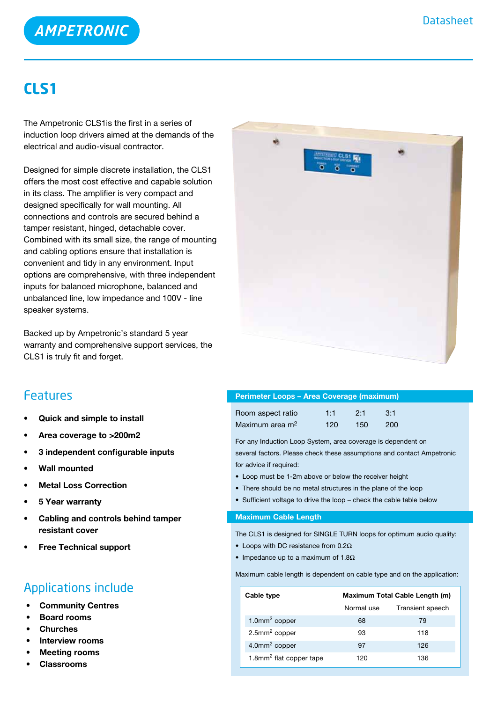

## **CLS1**

The Ampetronic CLS1is the first in a series of induction loop drivers aimed at the demands of the electrical and audio-visual contractor.

Designed for simple discrete installation, the CLS1 offers the most cost effective and capable solution in its class. The amplifier is very compact and designed specifically for wall mounting. All connections and controls are secured behind a tamper resistant, hinged, detachable cover. Combined with its small size, the range of mounting and cabling options ensure that installation is convenient and tidy in any environment. Input options are comprehensive, with three independent inputs for balanced microphone, balanced and unbalanced line, low impedance and 100V - line speaker systems.

Backed up by Ampetronic's standard 5 year warranty and comprehensive support services, the CLS1 is truly fit and forget.



### Features

- **• Quick and simple to install**
- **• Area coverage to >200m2**
- **• 3 independent configurable inputs**
- **• Wall mounted**
- **Metal Loss Correction**
- **• 5 Year warranty**
- **• Cabling and controls behind tamper resistant cover**
- **Free Technical support**

## Applications include

- **Community Centres**
- **Board rooms**
- **Churches**
- **Interview rooms**
- **Meeting rooms**
- **Classrooms**

| <b>Perimeter Loops - Area Coverage (maximum)</b> |     |     |     |  |
|--------------------------------------------------|-----|-----|-----|--|
| Room aspect ratio                                | 1:1 | 2.1 | 3:1 |  |
| Maximum area m <sup>2</sup>                      | 120 | 150 | 200 |  |

For any Induction Loop System, area coverage is dependent on several factors. Please check these assumptions and contact Ampetronic for advice if required:

- Loop must be 1-2m above or below the receiver height
- There should be no metal structures in the plane of the loop
- Sufficient voltage to drive the loop check the cable table below

### **Maximum Cable Length**

The CLS1 is designed for SINGLE TURN loops for optimum audio quality:

- Loops with DC resistance from  $0.2\Omega$
- Impedance up to a maximum of 1.8Ω

Maximum cable length is dependent on cable type and on the application:

| Cable type                          | Maximum Total Cable Length (m) |                  |  |
|-------------------------------------|--------------------------------|------------------|--|
|                                     | Normal use                     | Transient speech |  |
| $1.0$ mm <sup>2</sup> copper        | 68                             | 79               |  |
| $2.5$ mm <sup>2</sup> copper        | 93                             | 118              |  |
| 4.0mm <sup>2</sup> copper           | 97                             | 126              |  |
| 1.8mm <sup>2</sup> flat copper tape | 120                            | 136              |  |